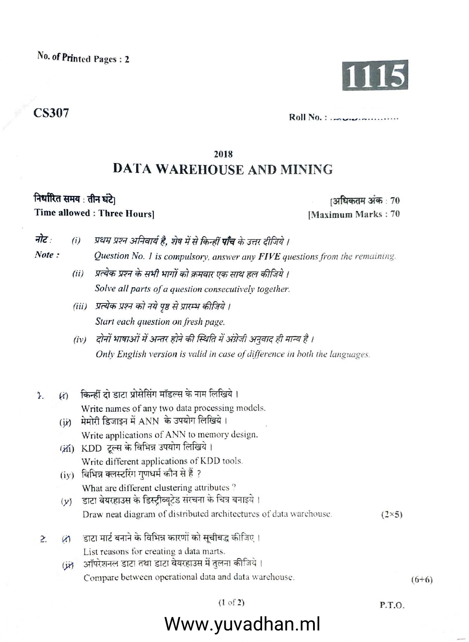# **CS307**

 $Roll No.:$ 

## 2018

# **DATA WAREHOUSE AND MINING**

## निर्धारित समय: तीन घंटे। Time allowed : Three Hoursl

ाअधिकतम अंक : 70 [Maximum Marks: 70

- नोट: प्रथम प्रश्न अनिवार्य है, शेष में से किन्हीं **पाँच** के उत्तर दीजिये ।  $(i)$
- Note: Question No. 1 is compulsory, answer any FIVE questions from the remaining.
	- (ii) प्रत्येक प्रश्न के सभी भागों को क्रमवार एक साथ हल कीजिये। Solve all parts of a question consecutively together.
	- (iii) प्रत्येक प्रश्न को नये पृष्ठ से प्रारम्भ कीजिये। Start each question on fresh page.
	- दोनों भाषाओं में अन्तर होने की स्थिति में अंग्रेजी अनुवाद ही मान्य है ।  $(iv)$ Only English version is valid in case of difference in both the languages.
- किन्हीं दो डाटा प्रोसेसिंग मॉडल्स के नाम लिखिये।  $\mathbf{L}$  $\omega$ Write names of any two data processing models.
	- (ii) मेमोरी डिजाइन में ANN के उपयोग लिखिये। Write applications of ANN to memory design.
	- (ii) KDD टूल्स के विभिन्न उपयोग लिखिये। Write different applications of KDD tools.
	- (iy) विभिन्न क्लस्टरिंग गणधर्म कौन से हैं ? What are different clustering attributes?
	- डाटा वेयरहाउस के डिस्ट्रीब्यूटेड संरचना के चित्र बनाइये।  $(y)$ Draw neat diagram of distributed architectures of data warehouse.  $(2\times5)$
- डाटा मार्ट बनाने के विभिन्न कारणों को सूचीबद्ध कीजिए।  $\overline{2}$  $\omega$ List reasons for creating a data marts.
	- (j) ऑपरेशनल डाटा तथा डाटा वेयरहाउस में तुलना कीजिये। Compare between operational data and data warehouse.

P.T.O.

# Www.yuvadhan.ml

 $(6+6)$